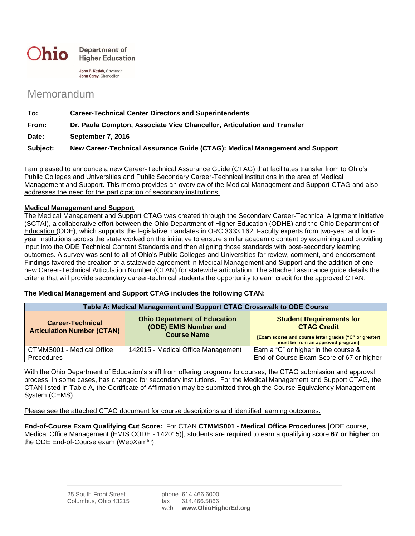

John R. Kasich, Governor John Carey, Chancellor

## Memorandum

| To:      | <b>Career-Technical Center Directors and Superintendents</b>                |  |
|----------|-----------------------------------------------------------------------------|--|
| From:    | Dr. Paula Compton, Associate Vice Chancellor, Articulation and Transfer     |  |
| Date:    | September 7, 2016                                                           |  |
| Subject: | New Career-Technical Assurance Guide (CTAG): Medical Management and Support |  |

I am pleased to announce a new Career-Technical Assurance Guide (CTAG) that facilitates transfer from to Ohio's Public Colleges and Universities and Public Secondary Career-Technical institutions in the area of Medical Management and Support. This memo provides an overview of the Medical Management and Support CTAG and also addresses the need for the participation of secondary institutions.

## **Medical Management and Support**

The Medical Management and Support CTAG was created through the Secondary Career-Technical Alignment Initiative (SCTAI), a collaborative effort between the Ohio Department of Higher Education (ODHE) and the Ohio Department of Education (ODE), which supports the legislative mandates in ORC 3333.162. Faculty experts from two-year and fouryear institutions across the state worked on the initiative to ensure similar academic content by examining and providing input into the ODE Technical Content Standards and then aligning those standards with post-secondary learning outcomes. A survey was sent to all of Ohio's Public Colleges and Universities for review, comment, and endorsement. Findings favored the creation of a statewide agreement in Medical Management and Support and the addition of one new Career-Technical Articulation Number (CTAN) for statewide articulation. The attached assurance guide details the criteria that will provide secondary career-technical students the opportunity to earn credit for the approved CTAN.

## **The Medical Management and Support CTAG includes the following CTAN:**

| Table A: Medical Management and Support CTAG Crosswalk to ODE Course |                                                                                    |                                                                                                                                                      |  |
|----------------------------------------------------------------------|------------------------------------------------------------------------------------|------------------------------------------------------------------------------------------------------------------------------------------------------|--|
| <b>Career-Technical</b><br><b>Articulation Number (CTAN)</b>         | <b>Ohio Department of Education</b><br>(ODE) EMIS Number and<br><b>Course Name</b> | <b>Student Requirements for</b><br><b>CTAG Credit</b><br>[Exam scores and course letter grades ("C" or greater)<br>must be from an approved program] |  |
| CTMMS001 - Medical Office<br><b>Procedures</b>                       | 142015 - Medical Office Management                                                 | Earn a "C" or higher in the course &<br>End-of Course Exam Score of 67 or higher                                                                     |  |

With the Ohio Department of Education's shift from offering programs to courses, the CTAG submission and approval process, in some cases, has changed for secondary institutions. For the Medical Management and Support CTAG, the CTAN listed in Table A, the Certificate of Affirmation may be submitted through the Course Equivalency Management System (CEMS).

Please see the attached CTAG document for course descriptions and identified learning outcomes.

**End-of-Course Exam Qualifying Cut Score:** For CTAN **CTMMS001 - Medical Office Procedures** [ODE course, Medical Office Management (EMIS CODE - 142015)], students are required to earn a qualifying score **67 or higher** on the ODE End-of-Course exam (WebXam<sup>tm</sup>).